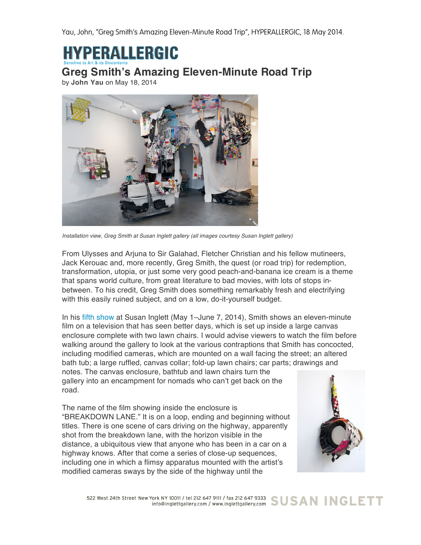Yau, John, "Greg Smith's Amazing Eleven-Minute Road Trip", HYPERALLERGIC, 18 May 2014.

**HYPERALLERGIC** 

**Greg Smith's Amazing Eleven-Minute Road Trip**

by **John Yau** on May 18, 2014



*Installation view, Greg Smith at Susan Inglett gallery (all images courtesy Susan Inglett gallery)*

From Ulysses and Arjuna to Sir Galahad, Fletcher Christian and his fellow mutineers, Jack Kerouac and, more recently, Greg Smith, the quest (or road trip) for redemption, transformation, utopia, or just some very good peach-and-banana ice cream is a theme that spans world culture, from great literature to bad movies, with lots of stops inbetween. To his credit, Greg Smith does something remarkably fresh and electrifying with this easily ruined subject, and on a low, do-it-yourself budget.

In his fifth show at Susan Inglett (May 1–June 7, 2014), Smith shows an eleven-minute film on a television that has seen better days, which is set up inside a large canvas enclosure complete with two lawn chairs. I would advise viewers to watch the film before walking around the gallery to look at the various contraptions that Smith has concocted, including modified cameras, which are mounted on a wall facing the street; an altered bath tub; a large ruffled, canvas collar; fold-up lawn chairs; car parts; drawings and notes. The canvas enclosure, bathtub and lawn chairs turn the gallery into an encampment for nomads who can't get back on the

road.

The name of the film showing inside the enclosure is "BREAKDOWN LANE." It is on a loop, ending and beginning without titles. There is one scene of cars driving on the highway, apparently shot from the breakdown lane, with the horizon visible in the distance, a ubiquitous view that anyone who has been in a car on a highway knows. After that come a series of close-up sequences, including one in which a flimsy apparatus mounted with the artist's modified cameras sways by the side of the highway until the



522 West 24th Street New York NY 10011 / tel 212 647 9111 / fax 212 647 9333 SUSAN INGLETT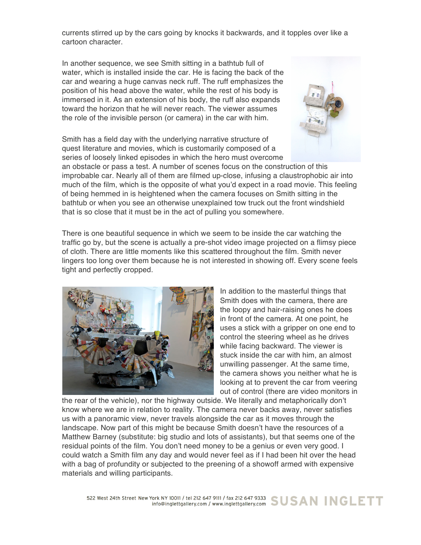currents stirred up by the cars going by knocks it backwards, and it topples over like a cartoon character.

In another sequence, we see Smith sitting in a bathtub full of water, which is installed inside the car. He is facing the back of the car and wearing a huge canvas neck ruff. The ruff emphasizes the position of his head above the water, while the rest of his body is immersed in it. As an extension of his body, the ruff also expands toward the horizon that he will never reach. The viewer assumes the role of the invisible person (or camera) in the car with him.

Smith has a field day with the underlying narrative structure of quest literature and movies, which is customarily composed of a series of loosely linked episodes in which the hero must overcome



an obstacle or pass a test. A number of scenes focus on the construction of this improbable car. Nearly all of them are filmed up-close, infusing a claustrophobic air into much of the film, which is the opposite of what you'd expect in a road movie. This feeling of being hemmed in is heightened when the camera focuses on Smith sitting in the bathtub or when you see an otherwise unexplained tow truck out the front windshield that is so close that it must be in the act of pulling you somewhere.

There is one beautiful sequence in which we seem to be inside the car watching the traffic go by, but the scene is actually a pre-shot video image projected on a flimsy piece of cloth. There are little moments like this scattered throughout the film. Smith never lingers too long over them because he is not interested in showing off. Every scene feels tight and perfectly cropped.



In addition to the masterful things that Smith does with the camera, there are the loopy and hair-raising ones he does in front of the camera. At one point, he uses a stick with a gripper on one end to control the steering wheel as he drives while facing backward. The viewer is stuck inside the car with him, an almost unwilling passenger. At the same time, the camera shows you neither what he is looking at to prevent the car from veering out of control (there are video monitors in

the rear of the vehicle), nor the highway outside. We literally and metaphorically don't know where we are in relation to reality. The camera never backs away, never satisfies us with a panoramic view, never travels alongside the car as it moves through the landscape. Now part of this might be because Smith doesn't have the resources of a Matthew Barney (substitute: big studio and lots of assistants), but that seems one of the residual points of the film. You don't need money to be a genius or even very good. I could watch a Smith film any day and would never feel as if I had been hit over the head with a bag of profundity or subjected to the preening of a showoff armed with expensive materials and willing participants.